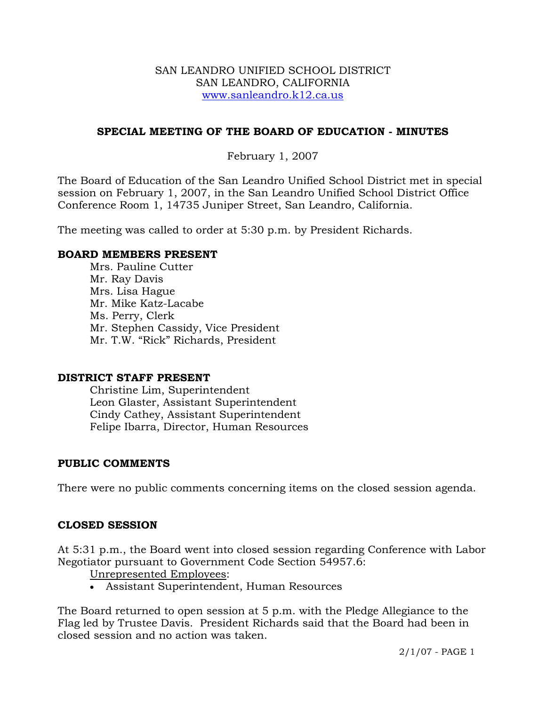### SAN LEANDRO UNIFIED SCHOOL DISTRICT SAN LEANDRO, CALIFORNIA www.sanleandro.k12.ca.us

## **SPECIAL MEETING OF THE BOARD OF EDUCATION - MINUTES**

## February 1, 2007

The Board of Education of the San Leandro Unified School District met in special session on February 1, 2007, in the San Leandro Unified School District Office Conference Room 1, 14735 Juniper Street, San Leandro, California.

The meeting was called to order at 5:30 p.m. by President Richards.

### **BOARD MEMBERS PRESENT**

Mrs. Pauline Cutter Mr. Ray Davis Mrs. Lisa Hague Mr. Mike Katz-Lacabe Ms. Perry, Clerk Mr. Stephen Cassidy, Vice President Mr. T.W. "Rick" Richards, President

### **DISTRICT STAFF PRESENT**

Christine Lim, Superintendent Leon Glaster, Assistant Superintendent Cindy Cathey, Assistant Superintendent Felipe Ibarra, Director, Human Resources

### **PUBLIC COMMENTS**

There were no public comments concerning items on the closed session agenda.

### **CLOSED SESSION**

At 5:31 p.m., the Board went into closed session regarding Conference with Labor Negotiator pursuant to Government Code Section 54957.6:

Unrepresented Employees:

• Assistant Superintendent, Human Resources

The Board returned to open session at 5 p.m. with the Pledge Allegiance to the Flag led by Trustee Davis. President Richards said that the Board had been in closed session and no action was taken.

2/1/07 - PAGE 1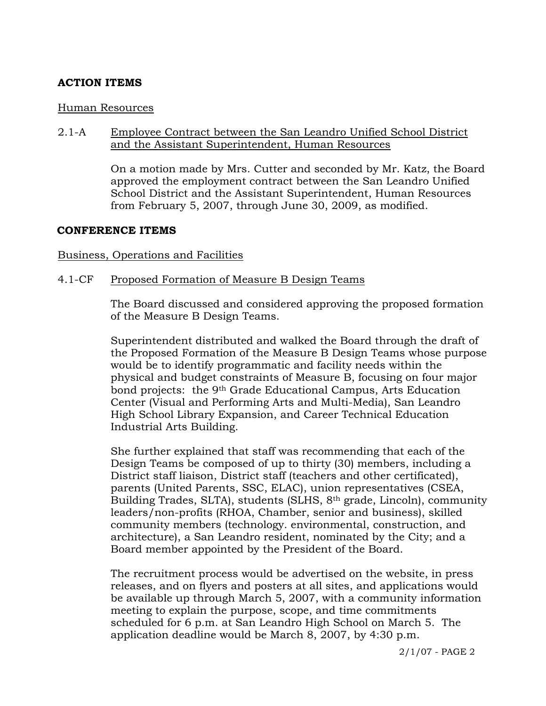# **ACTION ITEMS**

### Human Resources

### 2.1-A Employee Contract between the San Leandro Unified School District and the Assistant Superintendent, Human Resources

On a motion made by Mrs. Cutter and seconded by Mr. Katz, the Board approved the employment contract between the San Leandro Unified School District and the Assistant Superintendent, Human Resources from February 5, 2007, through June 30, 2009, as modified.

### **CONFERENCE ITEMS**

### Business, Operations and Facilities

### 4.1-CF Proposed Formation of Measure B Design Teams

The Board discussed and considered approving the proposed formation of the Measure B Design Teams.

Superintendent distributed and walked the Board through the draft of the Proposed Formation of the Measure B Design Teams whose purpose would be to identify programmatic and facility needs within the physical and budget constraints of Measure B, focusing on four major bond projects: the 9<sup>th</sup> Grade Educational Campus, Arts Education Center (Visual and Performing Arts and Multi-Media), San Leandro High School Library Expansion, and Career Technical Education Industrial Arts Building.

She further explained that staff was recommending that each of the Design Teams be composed of up to thirty (30) members, including a District staff liaison, District staff (teachers and other certificated), parents (United Parents, SSC, ELAC), union representatives (CSEA, Building Trades, SLTA), students (SLHS, 8th grade, Lincoln), community leaders/non-profits (RHOA, Chamber, senior and business), skilled community members (technology. environmental, construction, and architecture), a San Leandro resident, nominated by the City; and a Board member appointed by the President of the Board.

The recruitment process would be advertised on the website, in press releases, and on flyers and posters at all sites, and applications would be available up through March 5, 2007, with a community information meeting to explain the purpose, scope, and time commitments scheduled for 6 p.m. at San Leandro High School on March 5. The application deadline would be March 8, 2007, by 4:30 p.m.

2/1/07 - PAGE 2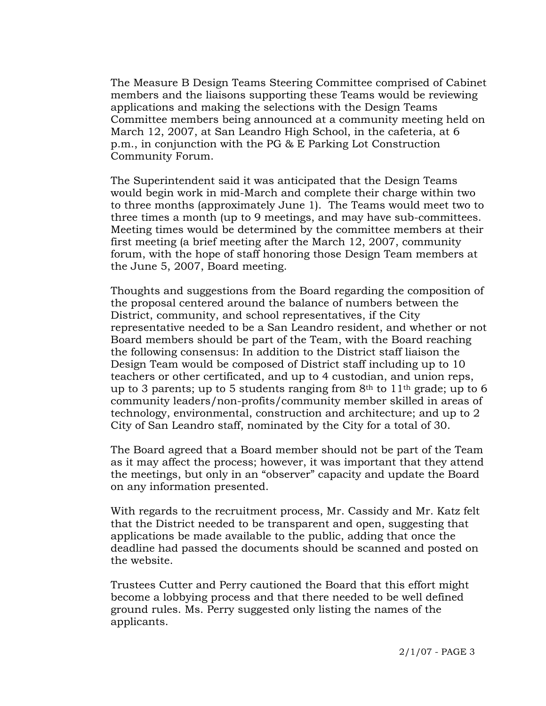The Measure B Design Teams Steering Committee comprised of Cabinet members and the liaisons supporting these Teams would be reviewing applications and making the selections with the Design Teams Committee members being announced at a community meeting held on March 12, 2007, at San Leandro High School, in the cafeteria, at 6 p.m., in conjunction with the PG & E Parking Lot Construction Community Forum.

The Superintendent said it was anticipated that the Design Teams would begin work in mid-March and complete their charge within two to three months (approximately June 1). The Teams would meet two to three times a month (up to 9 meetings, and may have sub-committees. Meeting times would be determined by the committee members at their first meeting (a brief meeting after the March 12, 2007, community forum, with the hope of staff honoring those Design Team members at the June 5, 2007, Board meeting.

Thoughts and suggestions from the Board regarding the composition of the proposal centered around the balance of numbers between the District, community, and school representatives, if the City representative needed to be a San Leandro resident, and whether or not Board members should be part of the Team, with the Board reaching the following consensus: In addition to the District staff liaison the Design Team would be composed of District staff including up to 10 teachers or other certificated, and up to 4 custodian, and union reps, up to 3 parents; up to 5 students ranging from  $8<sup>th</sup>$  to  $11<sup>th</sup>$  grade; up to 6 community leaders/non-profits/community member skilled in areas of technology, environmental, construction and architecture; and up to 2 City of San Leandro staff, nominated by the City for a total of 30.

The Board agreed that a Board member should not be part of the Team as it may affect the process; however, it was important that they attend the meetings, but only in an "observer" capacity and update the Board on any information presented.

With regards to the recruitment process, Mr. Cassidy and Mr. Katz felt that the District needed to be transparent and open, suggesting that applications be made available to the public, adding that once the deadline had passed the documents should be scanned and posted on the website.

Trustees Cutter and Perry cautioned the Board that this effort might become a lobbying process and that there needed to be well defined ground rules. Ms. Perry suggested only listing the names of the applicants.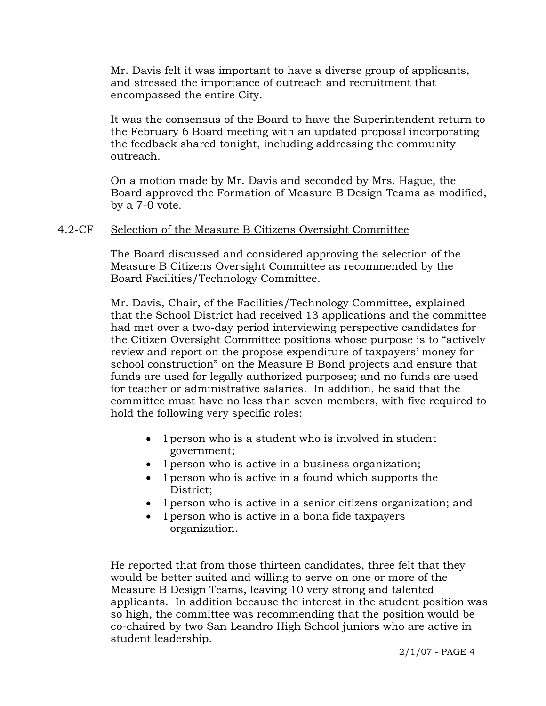Mr. Davis felt it was important to have a diverse group of applicants, and stressed the importance of outreach and recruitment that encompassed the entire City.

It was the consensus of the Board to have the Superintendent return to the February 6 Board meeting with an updated proposal incorporating the feedback shared tonight, including addressing the community outreach.

On a motion made by Mr. Davis and seconded by Mrs. Hague, the Board approved the Formation of Measure B Design Teams as modified, by a 7-0 vote.

### 4.2-CF Selection of the Measure B Citizens Oversight Committee

The Board discussed and considered approving the selection of the Measure B Citizens Oversight Committee as recommended by the Board Facilities/Technology Committee.

Mr. Davis, Chair, of the Facilities/Technology Committee, explained that the School District had received 13 applications and the committee had met over a two-day period interviewing perspective candidates for the Citizen Oversight Committee positions whose purpose is to "actively review and report on the propose expenditure of taxpayers' money for school construction" on the Measure B Bond projects and ensure that funds are used for legally authorized purposes; and no funds are used for teacher or administrative salaries. In addition, he said that the committee must have no less than seven members, with five required to hold the following very specific roles:

- 1 person who is a student who is involved in student government;
- 1 person who is active in a business organization;
- 1 person who is active in a found which supports the District;
- 1 person who is active in a senior citizens organization; and
- 1 person who is active in a bona fide taxpayers organization.

He reported that from those thirteen candidates, three felt that they would be better suited and willing to serve on one or more of the Measure B Design Teams, leaving 10 very strong and talented applicants. In addition because the interest in the student position was so high, the committee was recommending that the position would be co-chaired by two San Leandro High School juniors who are active in student leadership.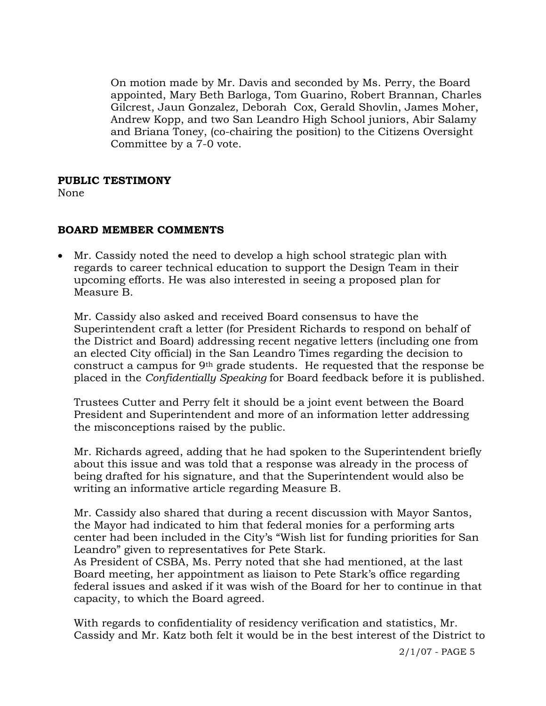On motion made by Mr. Davis and seconded by Ms. Perry, the Board appointed, Mary Beth Barloga, Tom Guarino, Robert Brannan, Charles Gilcrest, Jaun Gonzalez, Deborah Cox, Gerald Shovlin, James Moher, Andrew Kopp, and two San Leandro High School juniors, Abir Salamy and Briana Toney, (co-chairing the position) to the Citizens Oversight Committee by a 7-0 vote.

### **PUBLIC TESTIMONY**

None

# **BOARD MEMBER COMMENTS**

• Mr. Cassidy noted the need to develop a high school strategic plan with regards to career technical education to support the Design Team in their upcoming efforts. He was also interested in seeing a proposed plan for Measure B.

Mr. Cassidy also asked and received Board consensus to have the Superintendent craft a letter (for President Richards to respond on behalf of the District and Board) addressing recent negative letters (including one from an elected City official) in the San Leandro Times regarding the decision to construct a campus for 9th grade students. He requested that the response be placed in the *Confidentially Speaking* for Board feedback before it is published.

Trustees Cutter and Perry felt it should be a joint event between the Board President and Superintendent and more of an information letter addressing the misconceptions raised by the public.

Mr. Richards agreed, adding that he had spoken to the Superintendent briefly about this issue and was told that a response was already in the process of being drafted for his signature, and that the Superintendent would also be writing an informative article regarding Measure B.

Mr. Cassidy also shared that during a recent discussion with Mayor Santos, the Mayor had indicated to him that federal monies for a performing arts center had been included in the City's "Wish list for funding priorities for San Leandro" given to representatives for Pete Stark.

As President of CSBA, Ms. Perry noted that she had mentioned, at the last Board meeting, her appointment as liaison to Pete Stark's office regarding federal issues and asked if it was wish of the Board for her to continue in that capacity, to which the Board agreed.

With regards to confidentiality of residency verification and statistics, Mr. Cassidy and Mr. Katz both felt it would be in the best interest of the District to

2/1/07 - PAGE 5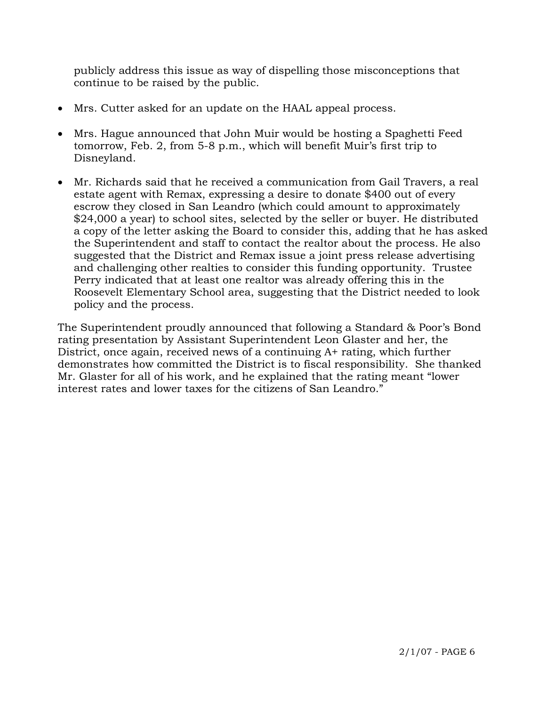publicly address this issue as way of dispelling those misconceptions that continue to be raised by the public.

- Mrs. Cutter asked for an update on the HAAL appeal process.
- Mrs. Hague announced that John Muir would be hosting a Spaghetti Feed tomorrow, Feb. 2, from 5-8 p.m., which will benefit Muir's first trip to Disneyland.
- Mr. Richards said that he received a communication from Gail Travers, a real estate agent with Remax, expressing a desire to donate \$400 out of every escrow they closed in San Leandro (which could amount to approximately \$24,000 a year) to school sites, selected by the seller or buyer. He distributed a copy of the letter asking the Board to consider this, adding that he has asked the Superintendent and staff to contact the realtor about the process. He also suggested that the District and Remax issue a joint press release advertising and challenging other realties to consider this funding opportunity. Trustee Perry indicated that at least one realtor was already offering this in the Roosevelt Elementary School area, suggesting that the District needed to look policy and the process.

The Superintendent proudly announced that following a Standard & Poor's Bond rating presentation by Assistant Superintendent Leon Glaster and her, the District, once again, received news of a continuing A+ rating, which further demonstrates how committed the District is to fiscal responsibility. She thanked Mr. Glaster for all of his work, and he explained that the rating meant "lower interest rates and lower taxes for the citizens of San Leandro."